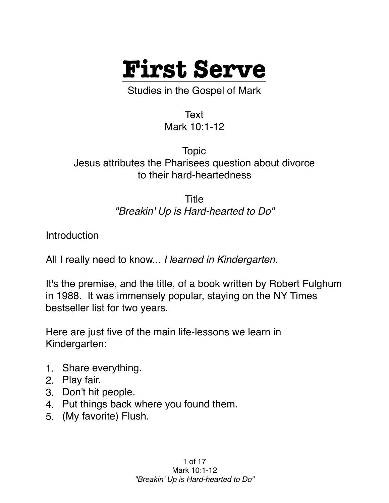

Studies in the Gospel of Mark

Text Mark 10:1-12

Topic Jesus attributes the Pharisees question about divorce to their hard-heartedness

> Title *"Breakin' Up is Hard-hearted to Do"*

Introduction

All I really need to know... *I learned in Kindergarten.*

It's the premise, and the title, of a book written by Robert Fulghum in 1988. It was immensely popular, staying on the NY Times bestseller list for two years.

Here are just five of the main life-lessons we learn in Kindergarten:

- 1. Share everything.
- 2. Play fair.
- 3. Don't hit people.
- 4. Put things back where you found them.
- 5. (My favorite) Flush.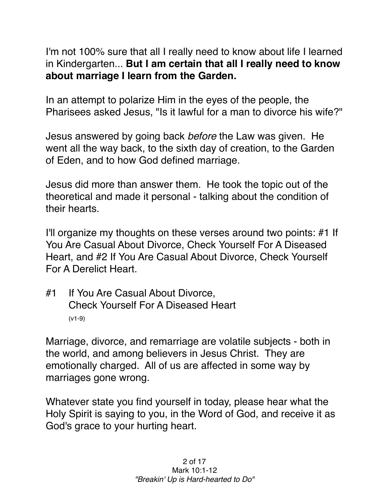I'm not 100% sure that all I really need to know about life I learned in Kindergarten... **But I am certain that all I really need to know about marriage I learn from the Garden.**

In an attempt to polarize Him in the eyes of the people, the Pharisees asked Jesus, "Is it lawful for a man to divorce his wife?"

Jesus answered by going back *before* the Law was given. He went all the way back, to the sixth day of creation, to the Garden of Eden, and to how God defined marriage.

Jesus did more than answer them. He took the topic out of the theoretical and made it personal - talking about the condition of their hearts.

I'll organize my thoughts on these verses around two points: #1 If You Are Casual About Divorce, Check Yourself For A Diseased Heart, and #2 If You Are Casual About Divorce, Check Yourself For A Derelict Heart.

#1 If You Are Casual About Divorce, Check Yourself For A Diseased Heart (v1-9)

Marriage, divorce, and remarriage are volatile subjects - both in the world, and among believers in Jesus Christ. They are emotionally charged. All of us are affected in some way by marriages gone wrong.

Whatever state you find yourself in today, please hear what the Holy Spirit is saying to you, in the Word of God, and receive it as God's grace to your hurting heart.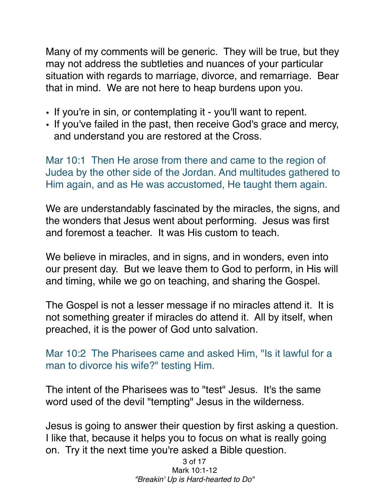Many of my comments will be generic. They will be true, but they may not address the subtleties and nuances of your particular situation with regards to marriage, divorce, and remarriage. Bear that in mind. We are not here to heap burdens upon you.

- If you're in sin, or contemplating it you'll want to repent.
- If you've failed in the past, then receive God's grace and mercy, and understand you are restored at the Cross.

Mar 10:1 Then He arose from there and came to the region of Judea by the other side of the Jordan. And multitudes gathered to Him again, and as He was accustomed, He taught them again.

We are understandably fascinated by the miracles, the signs, and the wonders that Jesus went about performing. Jesus was first and foremost a teacher. It was His custom to teach.

We believe in miracles, and in signs, and in wonders, even into our present day. But we leave them to God to perform, in His will and timing, while we go on teaching, and sharing the Gospel.

The Gospel is not a lesser message if no miracles attend it. It is not something greater if miracles do attend it. All by itself, when preached, it is the power of God unto salvation.

Mar 10:2 The Pharisees came and asked Him, "Is it lawful for a man to divorce his wife?" testing Him.

The intent of the Pharisees was to "test" Jesus. It's the same word used of the devil "tempting" Jesus in the wilderness.

Jesus is going to answer their question by first asking a question. I like that, because it helps you to focus on what is really going on. Try it the next time you're asked a Bible question.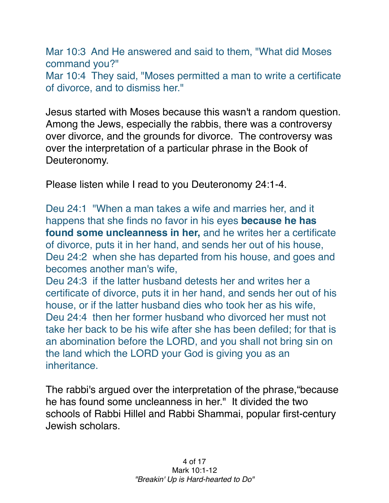Mar 10:3 And He answered and said to them, "What did Moses command you?" Mar 10:4 They said, "Moses permitted a man to write a certificate of divorce, and to dismiss her."

Jesus started with Moses because this wasn't a random question. Among the Jews, especially the rabbis, there was a controversy over divorce, and the grounds for divorce. The controversy was over the interpretation of a particular phrase in the Book of Deuteronomy.

Please listen while I read to you Deuteronomy 24:1-4.

Deu 24:1 "When a man takes a wife and marries her, and it happens that she finds no favor in his eyes **because he has found some uncleanness in her,** and he writes her a certificate of divorce, puts it in her hand, and sends her out of his house, Deu 24:2 when she has departed from his house, and goes and becomes another man's wife,

Deu 24:3 if the latter husband detests her and writes her a certificate of divorce, puts it in her hand, and sends her out of his house, or if the latter husband dies who took her as his wife, Deu 24:4 then her former husband who divorced her must not take her back to be his wife after she has been defiled; for that is an abomination before the LORD, and you shall not bring sin on the land which the LORD your God is giving you as an inheritance.

The rabbi's argued over the interpretation of the phrase,"because he has found some uncleanness in her." It divided the two schools of Rabbi Hillel and Rabbi Shammai, popular first-century Jewish scholars.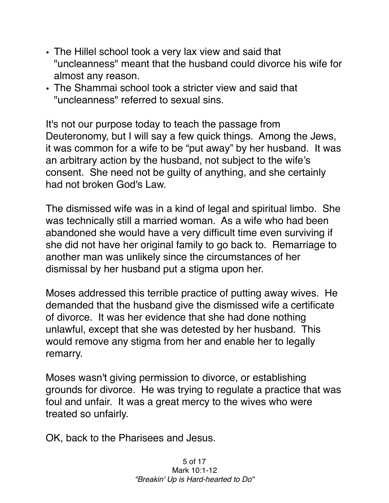- The Hillel school took a very lax view and said that "uncleanness" meant that the husband could divorce his wife for almost any reason.
- The Shammai school took a stricter view and said that "uncleanness" referred to sexual sins.

It's not our purpose today to teach the passage from Deuteronomy, but I will say a few quick things. Among the Jews, it was common for a wife to be "put away" by her husband. It was an arbitrary action by the husband, not subject to the wife's consent. She need not be guilty of anything, and she certainly had not broken God's Law.

The dismissed wife was in a kind of legal and spiritual limbo. She was technically still a married woman. As a wife who had been abandoned she would have a very difficult time even surviving if she did not have her original family to go back to. Remarriage to another man was unlikely since the circumstances of her dismissal by her husband put a stigma upon her.

Moses addressed this terrible practice of putting away wives. He demanded that the husband give the dismissed wife a certificate of divorce. It was her evidence that she had done nothing unlawful, except that she was detested by her husband. This would remove any stigma from her and enable her to legally remarry.

Moses wasn't giving permission to divorce, or establishing grounds for divorce. He was trying to regulate a practice that was foul and unfair. It was a great mercy to the wives who were treated so unfairly.

OK, back to the Pharisees and Jesus.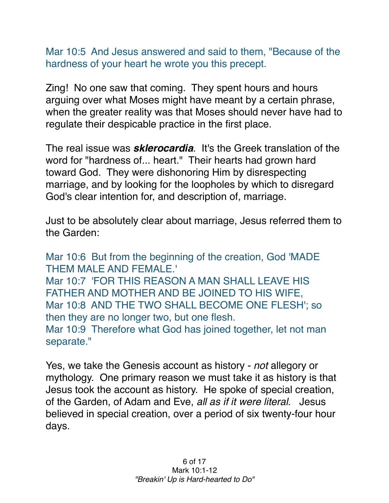Mar 10:5 And Jesus answered and said to them, "Because of the hardness of your heart he wrote you this precept.

Zing! No one saw that coming. They spent hours and hours arguing over what Moses might have meant by a certain phrase, when the greater reality was that Moses should never have had to regulate their despicable practice in the first place.

The real issue was *sklerocardia*. It's the Greek translation of the word for "hardness of... heart." Their hearts had grown hard toward God. They were dishonoring Him by disrespecting marriage, and by looking for the loopholes by which to disregard God's clear intention for, and description of, marriage.

Just to be absolutely clear about marriage, Jesus referred them to the Garden:

Mar 10:6 But from the beginning of the creation, God 'MADE THEM MALE AND FEMALE.' Mar 10:7 'FOR THIS REASON A MAN SHALL LEAVE HIS FATHER AND MOTHER AND BE JOINED TO HIS WIFE, Mar 10:8 AND THE TWO SHALL BECOME ONE FLESH'; so then they are no longer two, but one flesh. Mar 10:9 Therefore what God has joined together, let not man separate."

Yes, we take the Genesis account as history - *not* allegory or mythology. One primary reason we must take it as history is that Jesus took the account as history. He spoke of special creation, of the Garden, of Adam and Eve, *all as if it were literal*. Jesus believed in special creation, over a period of six twenty-four hour days.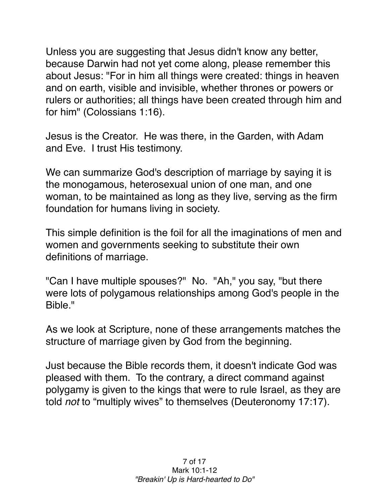Unless you are suggesting that Jesus didn't know any better, because Darwin had not yet come along, please remember this about Jesus: "For in him all things were created: things in heaven and on earth, visible and invisible, whether thrones or powers or rulers or authorities; all things have been created through him and for him" (Colossians 1:16).

Jesus is the Creator. He was there, in the Garden, with Adam and Eve. I trust His testimony.

We can summarize God's description of marriage by saying it is the monogamous, heterosexual union of one man, and one woman, to be maintained as long as they live, serving as the firm foundation for humans living in society.

This simple definition is the foil for all the imaginations of men and women and governments seeking to substitute their own definitions of marriage.

"Can I have multiple spouses?" No. "Ah," you say, "but there were lots of polygamous relationships among God's people in the Bible."

As we look at Scripture, none of these arrangements matches the structure of marriage given by God from the beginning.

Just because the Bible records them, it doesn't indicate God was pleased with them. To the contrary, a direct command against polygamy is given to the kings that were to rule Israel, as they are told *not* to "multiply wives" to themselves (Deuteronomy 17:17).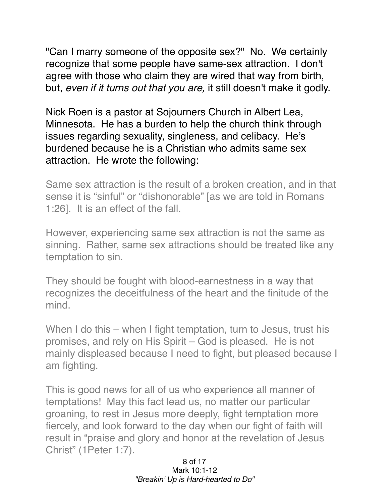"Can I marry someone of the opposite sex?" No. We certainly recognize that some people have same-sex attraction. I don't agree with those who claim they are wired that way from birth, but, *even if it turns out that you are,* it still doesn't make it godly.

Nick Roen is a pastor at Sojourners Church in Albert Lea, Minnesota. He has a burden to help the church think through issues regarding sexuality, singleness, and celibacy. He's burdened because he is a Christian who admits same sex attraction. He wrote the following:

Same sex attraction is the result of a broken creation, and in that sense it is "sinful" or "dishonorable" [as we are told in Romans 1:26]. It is an effect of the fall.

However, experiencing same sex attraction is not the same as sinning. Rather, same sex attractions should be treated like any temptation to sin.

They should be fought with blood-earnestness in a way that recognizes the deceitfulness of the heart and the finitude of the mind.

When I do this – when I fight temptation, turn to Jesus, trust his promises, and rely on His Spirit – God is pleased. He is not mainly displeased because I need to fight, but pleased because I am fighting.

This is good news for all of us who experience all manner of temptations! May this fact lead us, no matter our particular groaning, to rest in Jesus more deeply, fight temptation more fiercely, and look forward to the day when our fight of faith will result in "praise and glory and honor at the revelation of Jesus Christ" (1Peter 1:7).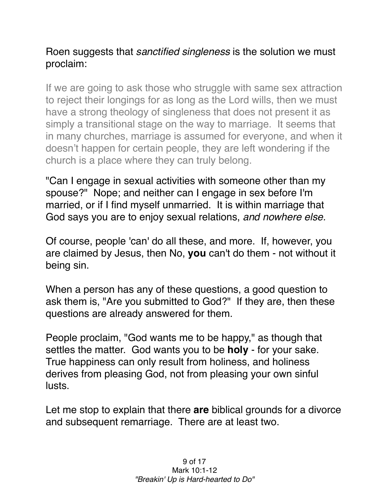## Roen suggests that *sanctified singleness* is the solution we must proclaim:

If we are going to ask those who struggle with same sex attraction to reject their longings for as long as the Lord wills, then we must have a strong theology of singleness that does not present it as simply a transitional stage on the way to marriage. It seems that in many churches, marriage is assumed for everyone, and when it doesn't happen for certain people, they are left wondering if the church is a place where they can truly belong.

"Can I engage in sexual activities with someone other than my spouse?" Nope; and neither can I engage in sex before I'm married, or if I find myself unmarried. It is within marriage that God says you are to enjoy sexual relations, *and nowhere else.*

Of course, people 'can' do all these, and more. If, however, you are claimed by Jesus, then No, **you** can't do them - not without it being sin.

When a person has any of these questions, a good question to ask them is, "Are you submitted to God?" If they are, then these questions are already answered for them.

People proclaim, "God wants me to be happy," as though that settles the matter. God wants you to be **holy** - for your sake. True happiness can only result from holiness, and holiness derives from pleasing God, not from pleasing your own sinful lusts.

Let me stop to explain that there **are** biblical grounds for a divorce and subsequent remarriage. There are at least two.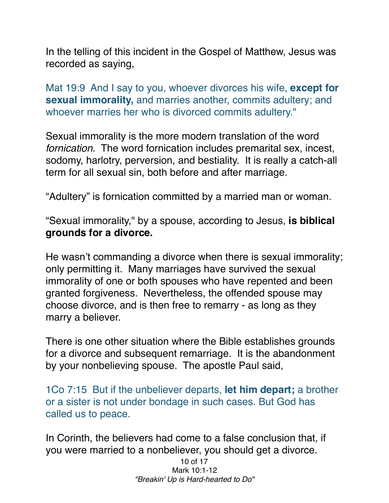In the telling of this incident in the Gospel of Matthew, Jesus was recorded as saying,

Mat 19:9 And I say to you, whoever divorces his wife, **except for sexual immorality,** and marries another, commits adultery; and whoever marries her who is divorced commits adultery."

Sexual immorality is the more modern translation of the word *fornication*. The word fornication includes premarital sex, incest, sodomy, harlotry, perversion, and bestiality. It is really a catch-all term for all sexual sin, both before and after marriage.

"Adultery" is fornication committed by a married man or woman.

"Sexual immorality," by a spouse, according to Jesus, **is biblical grounds for a divorce.**

He wasn't commanding a divorce when there is sexual immorality; only permitting it. Many marriages have survived the sexual immorality of one or both spouses who have repented and been granted forgiveness. Nevertheless, the offended spouse may choose divorce, and is then free to remarry - as long as they marry a believer.

There is one other situation where the Bible establishes grounds for a divorce and subsequent remarriage. It is the abandonment by your nonbelieving spouse. The apostle Paul said,

1Co 7:15 But if the unbeliever departs, **let him depart;** a brother or a sister is not under bondage in such cases. But God has called us to peace.

In Corinth, the believers had come to a false conclusion that, if you were married to a nonbeliever, you should get a divorce.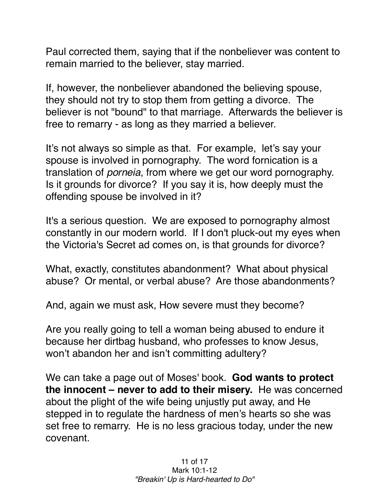Paul corrected them, saying that if the nonbeliever was content to remain married to the believer, stay married.

If, however, the nonbeliever abandoned the believing spouse, they should not try to stop them from getting a divorce. The believer is not "bound" to that marriage. Afterwards the believer is free to remarry - as long as they married a believer.

It's not always so simple as that. For example, let's say your spouse is involved in pornography. The word fornication is a translation of *porneia*, from where we get our word pornography. Is it grounds for divorce? If you say it is, how deeply must the offending spouse be involved in it?

It's a serious question. We are exposed to pornography almost constantly in our modern world. If I don't pluck-out my eyes when the Victoria's Secret ad comes on, is that grounds for divorce?

What, exactly, constitutes abandonment? What about physical abuse? Or mental, or verbal abuse? Are those abandonments?

And, again we must ask, How severe must they become?

Are you really going to tell a woman being abused to endure it because her dirtbag husband, who professes to know Jesus, won't abandon her and isn't committing adultery?

We can take a page out of Moses' book. **God wants to protect the innocent – never to add to their misery.** He was concerned about the plight of the wife being unjustly put away, and He stepped in to regulate the hardness of men's hearts so she was set free to remarry. He is no less gracious today, under the new covenant.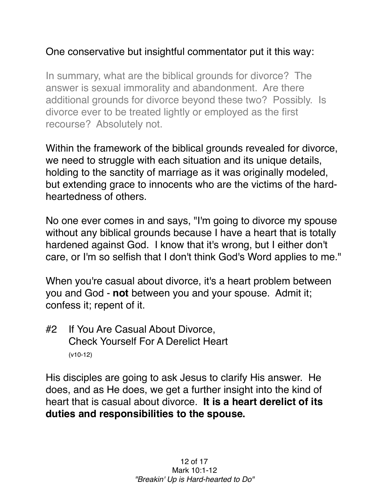## One conservative but insightful commentator put it this way:

In summary, what are the biblical grounds for divorce? The answer is sexual immorality and abandonment. Are there additional grounds for divorce beyond these two? Possibly. Is divorce ever to be treated lightly or employed as the first recourse? Absolutely not.

Within the framework of the biblical grounds revealed for divorce, we need to struggle with each situation and its unique details, holding to the sanctity of marriage as it was originally modeled, but extending grace to innocents who are the victims of the hardheartedness of others.

No one ever comes in and says, "I'm going to divorce my spouse without any biblical grounds because I have a heart that is totally hardened against God. I know that it's wrong, but I either don't care, or I'm so selfish that I don't think God's Word applies to me."

When you're casual about divorce, it's a heart problem between you and God - **not** between you and your spouse. Admit it; confess it; repent of it.

#2 If You Are Casual About Divorce, Check Yourself For A Derelict Heart (v10-12)

His disciples are going to ask Jesus to clarify His answer. He does, and as He does, we get a further insight into the kind of heart that is casual about divorce. **It is a heart derelict of its duties and responsibilities to the spouse.**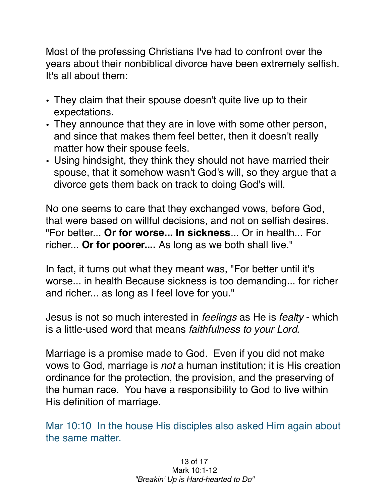Most of the professing Christians I've had to confront over the years about their nonbiblical divorce have been extremely selfish. It's all about them:

- They claim that their spouse doesn't quite live up to their expectations.
- They announce that they are in love with some other person, and since that makes them feel better, then it doesn't really matter how their spouse feels.
- Using hindsight, they think they should not have married their spouse, that it somehow wasn't God's will, so they argue that a divorce gets them back on track to doing God's will.

No one seems to care that they exchanged vows, before God, that were based on willful decisions, and not on selfish desires. "For better... **Or for worse... In sickness**... Or in health... For richer... **Or for poorer....** As long as we both shall live."

In fact, it turns out what they meant was, "For better until it's worse... in health Because sickness is too demanding... for richer and richer... as long as I feel love for you."

Jesus is not so much interested in *feelings* as He is *fealty* - which is a little-used word that means *faithfulness to your Lord.*

Marriage is a promise made to God. Even if you did not make vows to God, marriage is *not* a human institution; it is His creation ordinance for the protection, the provision, and the preserving of the human race. You have a responsibility to God to live within His definition of marriage.

Mar 10:10 In the house His disciples also asked Him again about the same matter.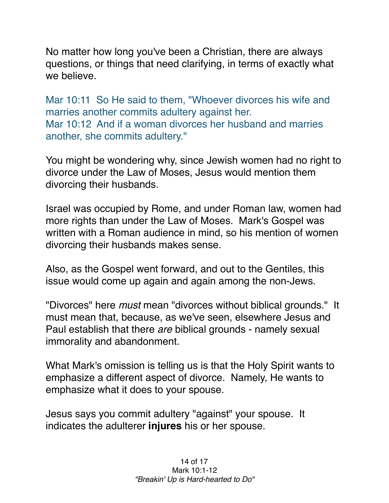No matter how long you've been a Christian, there are always questions, or things that need clarifying, in terms of exactly what we believe.

Mar 10:11 So He said to them, "Whoever divorces his wife and marries another commits adultery against her. Mar 10:12 And if a woman divorces her husband and marries another, she commits adultery."

You might be wondering why, since Jewish women had no right to divorce under the Law of Moses, Jesus would mention them divorcing their husbands.

Israel was occupied by Rome, and under Roman law, women had more rights than under the Law of Moses. Mark's Gospel was written with a Roman audience in mind, so his mention of women divorcing their husbands makes sense.

Also, as the Gospel went forward, and out to the Gentiles, this issue would come up again and again among the non-Jews.

"Divorces" here *must* mean "divorces without biblical grounds." It must mean that, because, as we've seen, elsewhere Jesus and Paul establish that there *are* biblical grounds - namely sexual immorality and abandonment.

What Mark's omission is telling us is that the Holy Spirit wants to emphasize a different aspect of divorce. Namely, He wants to emphasize what it does to your spouse.

Jesus says you commit adultery "against" your spouse. It indicates the adulterer **injures** his or her spouse.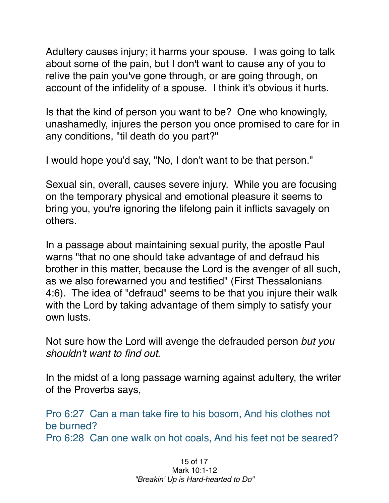Adultery causes injury; it harms your spouse. I was going to talk about some of the pain, but I don't want to cause any of you to relive the pain you've gone through, or are going through, on account of the infidelity of a spouse. I think it's obvious it hurts.

Is that the kind of person you want to be? One who knowingly, unashamedly, injures the person you once promised to care for in any conditions, "til death do you part?"

I would hope you'd say, "No, I don't want to be that person."

Sexual sin, overall, causes severe injury. While you are focusing on the temporary physical and emotional pleasure it seems to bring you, you're ignoring the lifelong pain it inflicts savagely on others.

In a passage about maintaining sexual purity, the apostle Paul warns "that no one should take advantage of and defraud his brother in this matter, because the Lord is the avenger of all such, as we also forewarned you and testified" (First Thessalonians 4:6). The idea of "defraud" seems to be that you injure their walk with the Lord by taking advantage of them simply to satisfy your own lusts.

Not sure how the Lord will avenge the defrauded person *but you shouldn't want to find out.*

In the midst of a long passage warning against adultery, the writer of the Proverbs says,

Pro 6:27 Can a man take fire to his bosom, And his clothes not be burned? Pro 6:28 Can one walk on hot coals, And his feet not be seared?